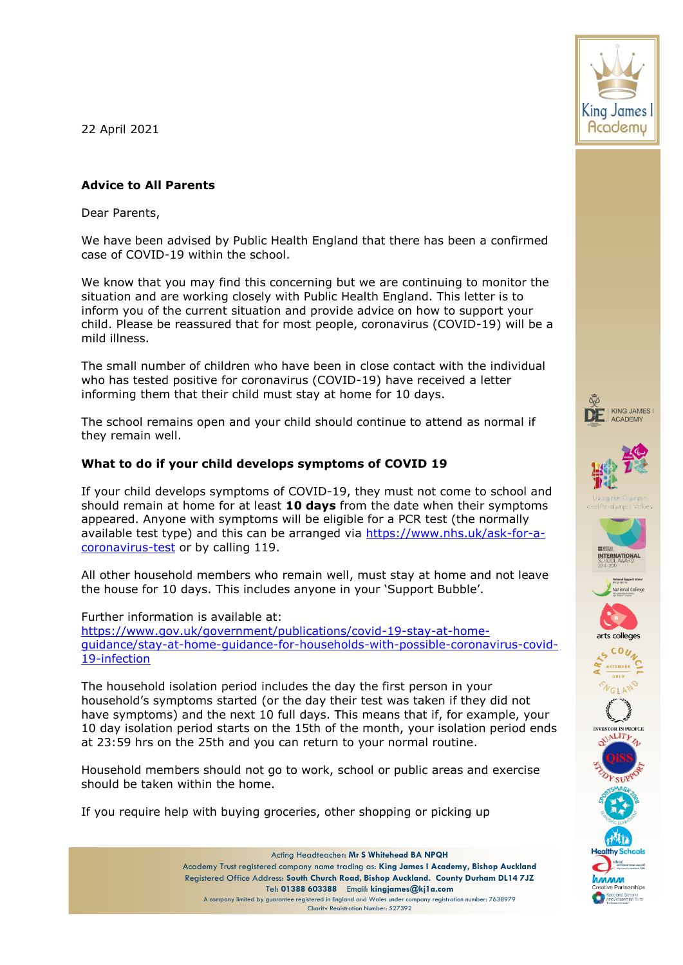22 April 2021

# **Advice to All Parents**

Dear Parents,

We have been advised by Public Health England that there has been a confirmed case of COVID-19 within the school.

We know that you may find this concerning but we are continuing to monitor the situation and are working closely with Public Health England. This letter is to inform you of the current situation and provide advice on how to support your child. Please be reassured that for most people, coronavirus (COVID-19) will be a mild illness.

The small number of children who have been in close contact with the individual who has tested positive for coronavirus (COVID-19) have received a letter informing them that their child must stay at home for 10 days.

The school remains open and your child should continue to attend as normal if they remain well.

# **What to do if your child develops symptoms of COVID 19**

If your child develops symptoms of COVID-19, they must not come to school and should remain at home for at least **10 days** from the date when their symptoms appeared. Anyone with symptoms will be eligible for a PCR test (the normally available test type) and this can be arranged via [https://www.nhs.uk/ask-for-a](https://www.nhs.uk/ask-for-a-coronavirus-test)[coronavirus-test](https://www.nhs.uk/ask-for-a-coronavirus-test) or by calling 119.

All other household members who remain well, must stay at home and not leave the house for 10 days. This includes anyone in your 'Support Bubble'.

Further information is available at:

[https://www.gov.uk/government/publications/covid-19-stay-at-home](https://www.gov.uk/government/publications/covid-19-stay-at-home-guidance/stay-at-home-guidance-for-households-with-possible-coronavirus-covid-19-infection)[guidance/stay-at-home-guidance-for-households-with-possible-coronavirus-covid-](https://www.gov.uk/government/publications/covid-19-stay-at-home-guidance/stay-at-home-guidance-for-households-with-possible-coronavirus-covid-19-infection)[19-infection](https://www.gov.uk/government/publications/covid-19-stay-at-home-guidance/stay-at-home-guidance-for-households-with-possible-coronavirus-covid-19-infection)

The household isolation period includes the day the first person in your household's symptoms started (or the day their test was taken if they did not have symptoms) and the next 10 full days. This means that if, for example, your 10 day isolation period starts on the 15th of the month, your isolation period ends at 23:59 hrs on the 25th and you can return to your normal routine.

Household members should not go to work, school or public areas and exercise should be taken within the home.

If you require help with buying groceries, other shopping or picking up

















pecialist Schools<br>nd Academies Trus

Acting Headteacher: **Mr S Whitehead BA NPQH** Academy Trust registered company name trading as: **King James I Academy, Bishop Auckland** Registered Office Address: **South Church Road, Bishop Auckland. County Durham DL14 7JZ** Tel: **01388 603388** Email: **kingjames@kj1a.com** A company limited by guarantee registered in England and Wales under company registration number: 7638979 Charity Registration Number: 527392